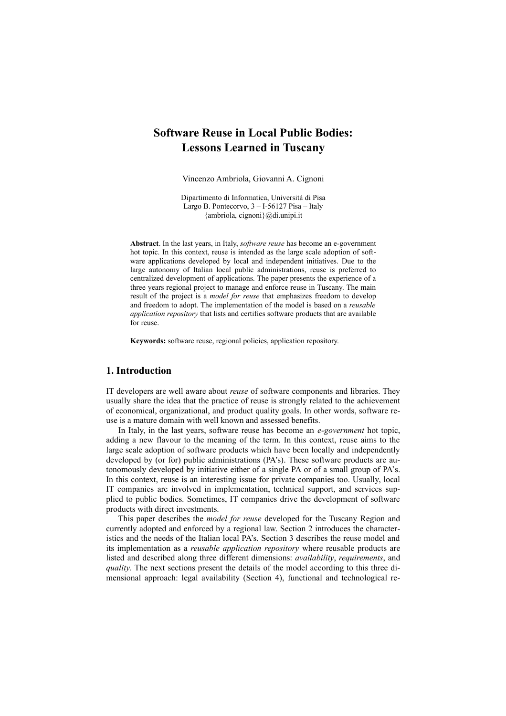# **Software Reuse in Local Public Bodies: Lessons Learned in Tuscany**

Vincenzo Ambriola, Giovanni A. Cignoni

Dipartimento di Informatica, Università di Pisa Largo B. Pontecorvo, 3 – I-56127 Pisa – Italy {ambriola, cignoni}@di.unipi.it

**Abstract**. In the last years, in Italy, *software reuse* has become an e-government hot topic. In this context, reuse is intended as the large scale adoption of software applications developed by local and independent initiatives. Due to the large autonomy of Italian local public administrations, reuse is preferred to centralized development of applications. The paper presents the experience of a three years regional project to manage and enforce reuse in Tuscany. The main result of the project is a *model for reuse* that emphasizes freedom to develop and freedom to adopt. The implementation of the model is based on a *reusable application repository* that lists and certifies software products that are available for reuse.

**Keywords:** software reuse, regional policies, application repository.

# **1. Introduction**

IT developers are well aware about *reuse* of software components and libraries. They usually share the idea that the practice of reuse is strongly related to the achievement of economical, organizational, and product quality goals. In other words, software reuse is a mature domain with well known and assessed benefits.

In Italy, in the last years, software reuse has become an *e-government* hot topic, adding a new flavour to the meaning of the term. In this context, reuse aims to the large scale adoption of software products which have been locally and independently developed by (or for) public administrations (PA's). These software products are autonomously developed by initiative either of a single PA or of a small group of PA's. In this context, reuse is an interesting issue for private companies too. Usually, local IT companies are involved in implementation, technical support, and services supplied to public bodies. Sometimes, IT companies drive the development of software products with direct investments.

This paper describes the *model for reuse* developed for the Tuscany Region and currently adopted and enforced by a regional law. Section 2 introduces the characteristics and the needs of the Italian local PA's. Section 3 describes the reuse model and its implementation as a *reusable application repository* where reusable products are listed and described along three different dimensions: *availability*, *requirements*, and *quality*. The next sections present the details of the model according to this three dimensional approach: legal availability (Section 4), functional and technological re-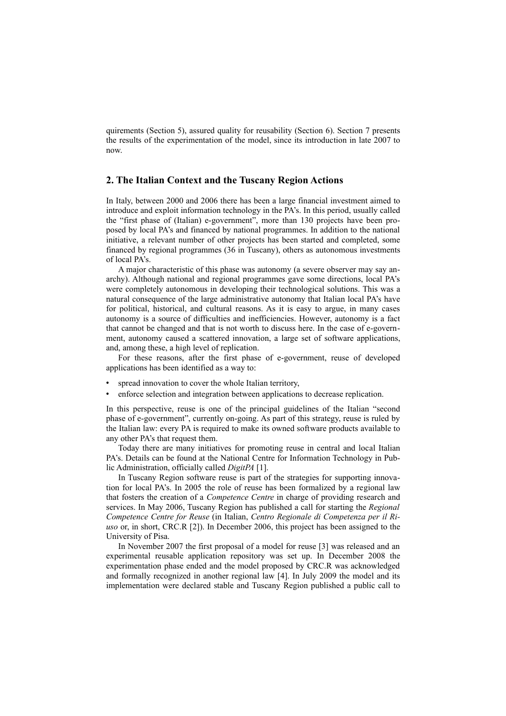quirements (Section 5), assured quality for reusability (Section 6). Section 7 presents the results of the experimentation of the model, since its introduction in late 2007 to now.

#### **2. The Italian Context and the Tuscany Region Actions**

In Italy, between 2000 and 2006 there has been a large financial investment aimed to introduce and exploit information technology in the PA's. In this period, usually called the "first phase of (Italian) e-government", more than 130 projects have been proposed by local PA's and financed by national programmes. In addition to the national initiative, a relevant number of other projects has been started and completed, some financed by regional programmes (36 in Tuscany), others as autonomous investments of local PA's.

A major characteristic of this phase was autonomy (a severe observer may say anarchy). Although national and regional programmes gave some directions, local PA's were completely autonomous in developing their technological solutions. This was a natural consequence of the large administrative autonomy that Italian local PA's have for political, historical, and cultural reasons. As it is easy to argue, in many cases autonomy is a source of difficulties and inefficiencies. However, autonomy is a fact that cannot be changed and that is not worth to discuss here. In the case of e-government, autonomy caused a scattered innovation, a large set of software applications, and, among these, a high level of replication.

For these reasons, after the first phase of e-government, reuse of developed applications has been identified as a way to:

- spread innovation to cover the whole Italian territory,
- enforce selection and integration between applications to decrease replication.

In this perspective, reuse is one of the principal guidelines of the Italian "second phase of e-government", currently on-going. As part of this strategy, reuse is ruled by the Italian law: every PA is required to make its owned software products available to any other PA's that request them.

Today there are many initiatives for promoting reuse in central and local Italian PA's. Details can be found at the National Centre for Information Technology in Public Administration, officially called *DigitPA* [1].

In Tuscany Region software reuse is part of the strategies for supporting innovation for local PA's. In 2005 the role of reuse has been formalized by a regional law that fosters the creation of a *Competence Centre* in charge of providing research and services. In May 2006, Tuscany Region has published a call for starting the *Regional Competence Centre for Reuse* (in Italian, *Centro Regionale di Competenza per il Riuso* or, in short, CRC.R [2]). In December 2006, this project has been assigned to the University of Pisa.

In November 2007 the first proposal of a model for reuse [3] was released and an experimental reusable application repository was set up. In December 2008 the experimentation phase ended and the model proposed by CRC.R was acknowledged and formally recognized in another regional law [4]. In July 2009 the model and its implementation were declared stable and Tuscany Region published a public call to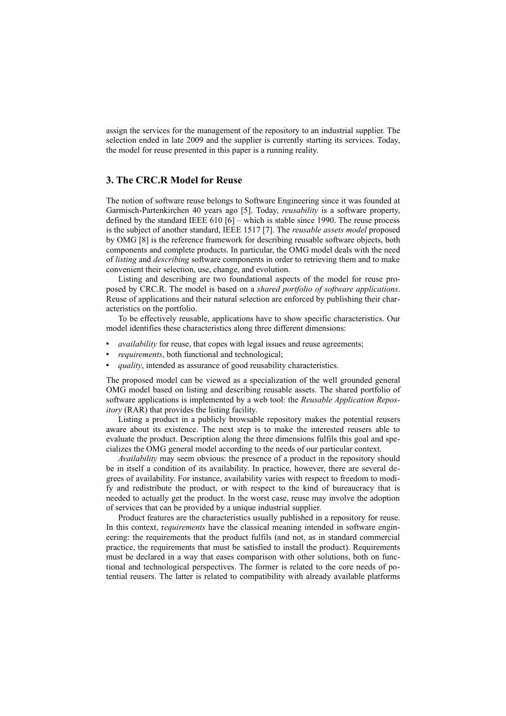assign the services for the management of the repository to an industrial supplier. The selection ended in late 2009 and the supplier is currently starting its services. Today, the model for reuse presented in this paper is a running reality.

## **3. The CRC.R Model for Reuse**

The notion of software reuse belongs to Software Engineering since it was founded at Garmisch-Partenkirchen 40 years ago [5]. Today, *reusability* is a software property, defined by the standard IEEE 610 [6] – which is stable since 1990. The reuse process is the subject of another standard, IEEE 1517 [7]. The *reusable assets model* proposed by OMG [8] is the reference framework for describing reusable software objects, both components and complete products. In particular, the OMG model deals with the need of *listing* and *describing* software components in order to retrieving them and to make convenient their selection, use, change, and evolution.

Listing and describing are two foundational aspects of the model for reuse proposed by CRC.R. The model is based on a *shared portfolio of software applications*. Reuse of applications and their natural selection are enforced by publishing their characteristics on the portfolio.

To be effectively reusable, applications have to show specific characteristics. Our model identifies these characteristics along three different dimensions:

- *availability* for reuse, that copes with legal issues and reuse agreements;
- *requirements*, both functional and technological;
- *quality*, intended as assurance of good reusability characteristics.

The proposed model can be viewed as a specialization of the well grounded general OMG model based on listing and describing reusable assets. The shared portfolio of software applications is implemented by a web tool: the *Reusable Application Repository* (RAR) that provides the listing facility.

Listing a product in a publicly browsable repository makes the potential reusers aware about its existence. The next step is to make the interested reusers able to evaluate the product. Description along the three dimensions fulfils this goal and specializes the OMG general model according to the needs of our particular context.

*Availability* may seem obvious: the presence of a product in the repository should be in itself a condition of its availability. In practice, however, there are several degrees of availability. For instance, availability varies with respect to freedom to modify and redistribute the product, or with respect to the kind of bureaucracy that is needed to actually get the product. In the worst case, reuse may involve the adoption of services that can be provided by a unique industrial supplier.

Product features are the characteristics usually published in a repository for reuse. In this context, r*equirements* have the classical meaning intended in software engineering: the requirements that the product fulfils (and not, as in standard commercial practice, the requirements that must be satisfied to install the product). Requirements must be declared in a way that eases comparison with other solutions, both on functional and technological perspectives. The former is related to the core needs of potential reusers. The latter is related to compatibility with already available platforms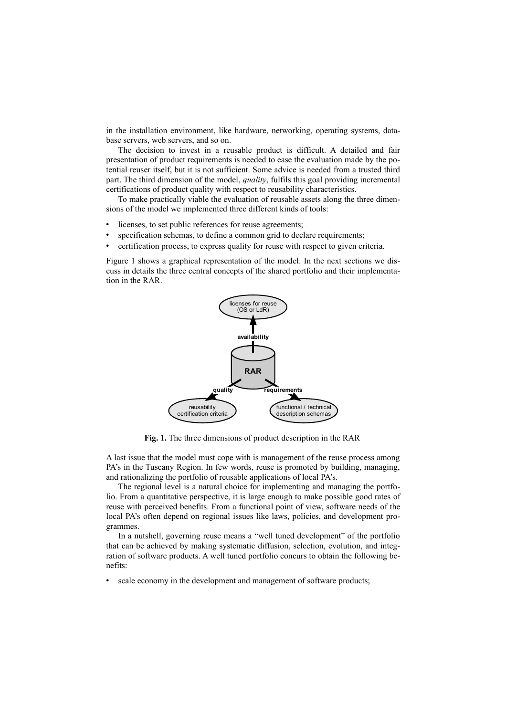in the installation environment, like hardware, networking, operating systems, database servers, web servers, and so on.

The decision to invest in a reusable product is difficult. A detailed and fair presentation of product requirements is needed to ease the evaluation made by the potential reuser itself, but it is not sufficient. Some advice is needed from a trusted third part. The third dimension of the model, *quality*, fulfils this goal providing incremental certifications of product quality with respect to reusability characteristics.

To make practically viable the evaluation of reusable assets along the three dimensions of the model we implemented three different kinds of tools:

- licenses, to set public references for reuse agreements;
- specification schemas, to define a common grid to declare requirements;
- certification process, to express quality for reuse with respect to given criteria.

Figure 1 shows a graphical representation of the model. In the next sections we discuss in details the three central concepts of the shared portfolio and their implementation in the RAR.



**Fig. 1.** The three dimensions of product description in the RAR

A last issue that the model must cope with is management of the reuse process among PA's in the Tuscany Region. In few words, reuse is promoted by building, managing, and rationalizing the portfolio of reusable applications of local PA's.

The regional level is a natural choice for implementing and managing the portfolio. From a quantitative perspective, it is large enough to make possible good rates of reuse with perceived benefits. From a functional point of view, software needs of the local PA's often depend on regional issues like laws, policies, and development programmes.

In a nutshell, governing reuse means a "well tuned development" of the portfolio that can be achieved by making systematic diffusion, selection, evolution, and integration of software products. A well tuned portfolio concurs to obtain the following benefits:

scale economy in the development and management of software products;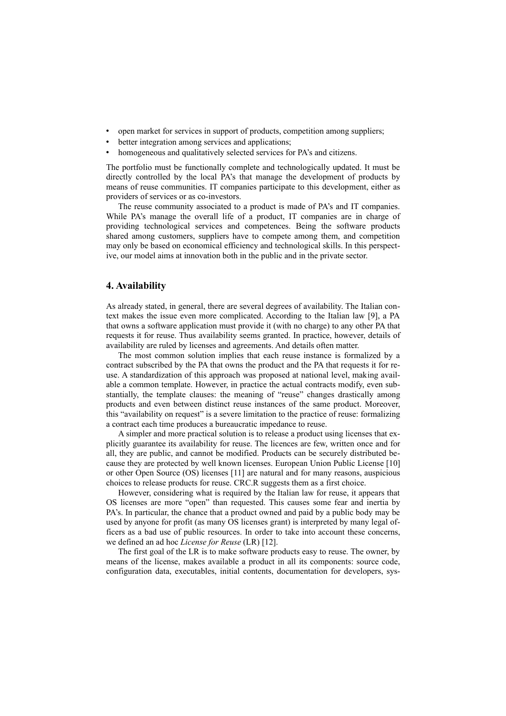- open market for services in support of products, competition among suppliers;
- better integration among services and applications;
- homogeneous and qualitatively selected services for PA's and citizens.

The portfolio must be functionally complete and technologically updated. It must be directly controlled by the local PA's that manage the development of products by means of reuse communities. IT companies participate to this development, either as providers of services or as co-investors.

The reuse community associated to a product is made of PA's and IT companies. While PA's manage the overall life of a product, IT companies are in charge of providing technological services and competences. Being the software products shared among customers, suppliers have to compete among them, and competition may only be based on economical efficiency and technological skills. In this perspective, our model aims at innovation both in the public and in the private sector.

### **4. Availability**

As already stated, in general, there are several degrees of availability. The Italian context makes the issue even more complicated. According to the Italian law [9], a PA that owns a software application must provide it (with no charge) to any other PA that requests it for reuse. Thus availability seems granted. In practice, however, details of availability are ruled by licenses and agreements. And details often matter.

The most common solution implies that each reuse instance is formalized by a contract subscribed by the PA that owns the product and the PA that requests it for reuse. A standardization of this approach was proposed at national level, making available a common template. However, in practice the actual contracts modify, even substantially, the template clauses: the meaning of "reuse" changes drastically among products and even between distinct reuse instances of the same product. Moreover, this "availability on request" is a severe limitation to the practice of reuse: formalizing a contract each time produces a bureaucratic impedance to reuse.

A simpler and more practical solution is to release a product using licenses that explicitly guarantee its availability for reuse. The licences are few, written once and for all, they are public, and cannot be modified. Products can be securely distributed because they are protected by well known licenses. European Union Public License [10] or other Open Source (OS) licenses [11] are natural and for many reasons, auspicious choices to release products for reuse. CRC.R suggests them as a first choice.

However, considering what is required by the Italian law for reuse, it appears that OS licenses are more "open" than requested. This causes some fear and inertia by PA's. In particular, the chance that a product owned and paid by a public body may be used by anyone for profit (as many OS licenses grant) is interpreted by many legal officers as a bad use of public resources. In order to take into account these concerns, we defined an ad hoc *License for Reuse* (LR) [12].

The first goal of the LR is to make software products easy to reuse. The owner, by means of the license, makes available a product in all its components: source code, configuration data, executables, initial contents, documentation for developers, sys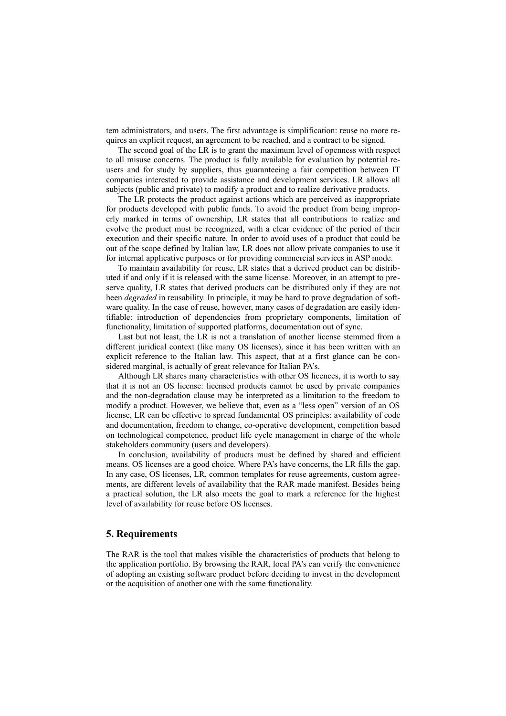tem administrators, and users. The first advantage is simplification: reuse no more requires an explicit request, an agreement to be reached, and a contract to be signed.

The second goal of the LR is to grant the maximum level of openness with respect to all misuse concerns. The product is fully available for evaluation by potential reusers and for study by suppliers, thus guaranteeing a fair competition between IT companies interested to provide assistance and development services. LR allows all subjects (public and private) to modify a product and to realize derivative products.

The LR protects the product against actions which are perceived as inappropriate for products developed with public funds. To avoid the product from being improperly marked in terms of ownership, LR states that all contributions to realize and evolve the product must be recognized, with a clear evidence of the period of their execution and their specific nature. In order to avoid uses of a product that could be out of the scope defined by Italian law, LR does not allow private companies to use it for internal applicative purposes or for providing commercial services in ASP mode.

To maintain availability for reuse, LR states that a derived product can be distributed if and only if it is released with the same license. Moreover, in an attempt to preserve quality, LR states that derived products can be distributed only if they are not been *degraded* in reusability. In principle, it may be hard to prove degradation of software quality. In the case of reuse, however, many cases of degradation are easily identifiable: introduction of dependencies from proprietary components, limitation of functionality, limitation of supported platforms, documentation out of sync.

Last but not least, the LR is not a translation of another license stemmed from a different juridical context (like many OS licenses), since it has been written with an explicit reference to the Italian law. This aspect, that at a first glance can be considered marginal, is actually of great relevance for Italian PA's.

Although LR shares many characteristics with other OS licences, it is worth to say that it is not an OS license: licensed products cannot be used by private companies and the non-degradation clause may be interpreted as a limitation to the freedom to modify a product. However, we believe that, even as a "less open" version of an OS license, LR can be effective to spread fundamental OS principles: availability of code and documentation, freedom to change, co-operative development, competition based on technological competence, product life cycle management in charge of the whole stakeholders community (users and developers).

In conclusion, availability of products must be defined by shared and efficient means. OS licenses are a good choice. Where PA's have concerns, the LR fills the gap. In any case, OS licenses, LR, common templates for reuse agreements, custom agreements, are different levels of availability that the RAR made manifest. Besides being a practical solution, the LR also meets the goal to mark a reference for the highest level of availability for reuse before OS licenses.

#### **5. Requirements**

The RAR is the tool that makes visible the characteristics of products that belong to the application portfolio. By browsing the RAR, local PA's can verify the convenience of adopting an existing software product before deciding to invest in the development or the acquisition of another one with the same functionality.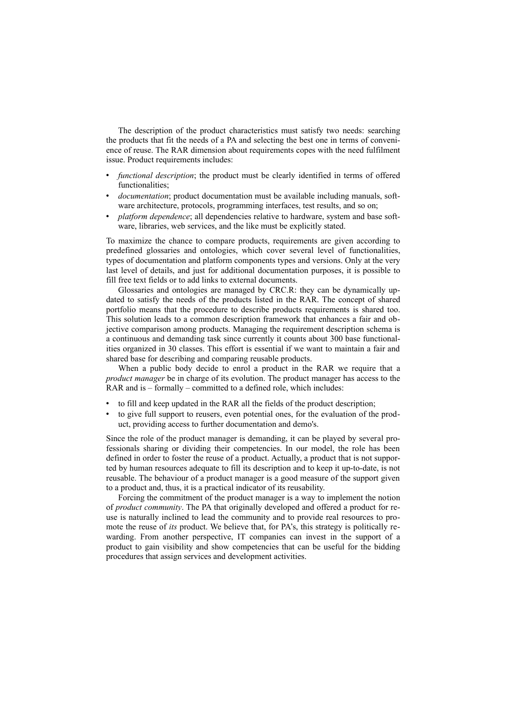The description of the product characteristics must satisfy two needs: searching the products that fit the needs of a PA and selecting the best one in terms of convenience of reuse. The RAR dimension about requirements copes with the need fulfilment issue. Product requirements includes:

- *functional description*; the product must be clearly identified in terms of offered functionalities;
- *documentation*; product documentation must be available including manuals, software architecture, protocols, programming interfaces, test results, and so on;
- *platform dependence*; all dependencies relative to hardware, system and base software, libraries, web services, and the like must be explicitly stated.

To maximize the chance to compare products, requirements are given according to predefined glossaries and ontologies, which cover several level of functionalities, types of documentation and platform components types and versions. Only at the very last level of details, and just for additional documentation purposes, it is possible to fill free text fields or to add links to external documents.

Glossaries and ontologies are managed by CRC.R: they can be dynamically updated to satisfy the needs of the products listed in the RAR. The concept of shared portfolio means that the procedure to describe products requirements is shared too. This solution leads to a common description framework that enhances a fair and objective comparison among products. Managing the requirement description schema is a continuous and demanding task since currently it counts about 300 base functionalities organized in 30 classes. This effort is essential if we want to maintain a fair and shared base for describing and comparing reusable products.

When a public body decide to enrol a product in the RAR we require that a *product manager* be in charge of its evolution. The product manager has access to the RAR and is – formally – committed to a defined role, which includes:

- to fill and keep updated in the RAR all the fields of the product description;
- to give full support to reusers, even potential ones, for the evaluation of the product, providing access to further documentation and demo's.

Since the role of the product manager is demanding, it can be played by several professionals sharing or dividing their competencies. In our model, the role has been defined in order to foster the reuse of a product. Actually, a product that is not supported by human resources adequate to fill its description and to keep it up-to-date, is not reusable. The behaviour of a product manager is a good measure of the support given to a product and, thus, it is a practical indicator of its reusability.

Forcing the commitment of the product manager is a way to implement the notion of *product community*. The PA that originally developed and offered a product for reuse is naturally inclined to lead the community and to provide real resources to promote the reuse of *its* product. We believe that, for PA's, this strategy is politically rewarding. From another perspective, IT companies can invest in the support of a product to gain visibility and show competencies that can be useful for the bidding procedures that assign services and development activities.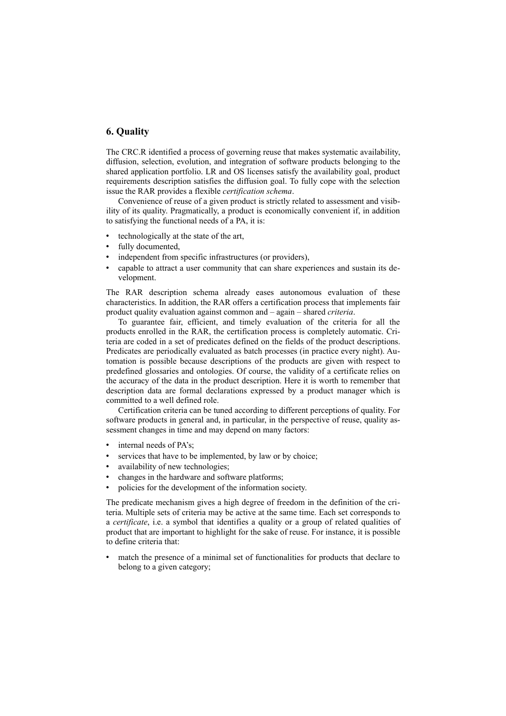# **6. Quality**

The CRC.R identified a process of governing reuse that makes systematic availability, diffusion, selection, evolution, and integration of software products belonging to the shared application portfolio. LR and OS licenses satisfy the availability goal, product requirements description satisfies the diffusion goal. To fully cope with the selection issue the RAR provides a flexible *certification schema*.

Convenience of reuse of a given product is strictly related to assessment and visibility of its quality. Pragmatically, a product is economically convenient if, in addition to satisfying the functional needs of a PA, it is:

- technologically at the state of the art,
- fully documented,
- independent from specific infrastructures (or providers),
- capable to attract a user community that can share experiences and sustain its development.

The RAR description schema already eases autonomous evaluation of these characteristics. In addition, the RAR offers a certification process that implements fair product quality evaluation against common and – again – shared *criteria*.

To guarantee fair, efficient, and timely evaluation of the criteria for all the products enrolled in the RAR, the certification process is completely automatic. Criteria are coded in a set of predicates defined on the fields of the product descriptions. Predicates are periodically evaluated as batch processes (in practice every night). Automation is possible because descriptions of the products are given with respect to predefined glossaries and ontologies. Of course, the validity of a certificate relies on the accuracy of the data in the product description. Here it is worth to remember that description data are formal declarations expressed by a product manager which is committed to a well defined role.

Certification criteria can be tuned according to different perceptions of quality. For software products in general and, in particular, in the perspective of reuse, quality assessment changes in time and may depend on many factors:

- internal needs of PA's;
- services that have to be implemented, by law or by choice;
- availability of new technologies;
- changes in the hardware and software platforms;
- policies for the development of the information society.

The predicate mechanism gives a high degree of freedom in the definition of the criteria. Multiple sets of criteria may be active at the same time. Each set corresponds to a *certificate*, i.e. a symbol that identifies a quality or a group of related qualities of product that are important to highlight for the sake of reuse. For instance, it is possible to define criteria that:

match the presence of a minimal set of functionalities for products that declare to belong to a given category;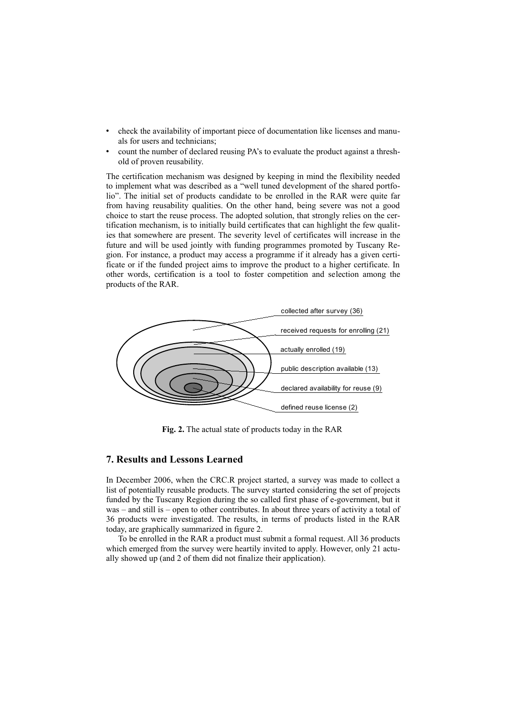- check the availability of important piece of documentation like licenses and manuals for users and technicians;
- count the number of declared reusing PA's to evaluate the product against a threshold of proven reusability.

The certification mechanism was designed by keeping in mind the flexibility needed to implement what was described as a "well tuned development of the shared portfolio". The initial set of products candidate to be enrolled in the RAR were quite far from having reusability qualities. On the other hand, being severe was not a good choice to start the reuse process. The adopted solution, that strongly relies on the certification mechanism, is to initially build certificates that can highlight the few qualities that somewhere are present. The severity level of certificates will increase in the future and will be used jointly with funding programmes promoted by Tuscany Region. For instance, a product may access a programme if it already has a given certificate or if the funded project aims to improve the product to a higher certificate. In other words, certification is a tool to foster competition and selection among the products of the RAR.



**Fig. 2.** The actual state of products today in the RAR

## **7. Results and Lessons Learned**

In December 2006, when the CRC.R project started, a survey was made to collect a list of potentially reusable products. The survey started considering the set of projects funded by the Tuscany Region during the so called first phase of e-government, but it was – and still is – open to other contributes. In about three years of activity a total of 36 products were investigated. The results, in terms of products listed in the RAR today, are graphically summarized in figure 2.

To be enrolled in the RAR a product must submit a formal request. All 36 products which emerged from the survey were heartily invited to apply. However, only 21 actually showed up (and 2 of them did not finalize their application).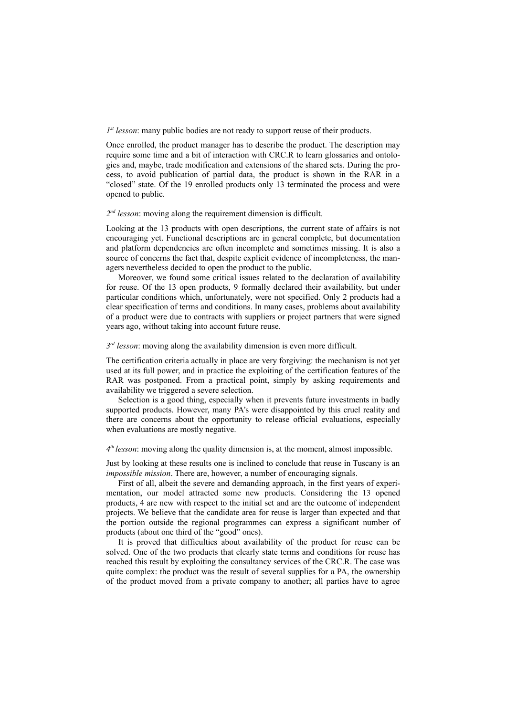*1 st lesson*: many public bodies are not ready to support reuse of their products.

Once enrolled, the product manager has to describe the product. The description may require some time and a bit of interaction with CRC.R to learn glossaries and ontologies and, maybe, trade modification and extensions of the shared sets. During the process, to avoid publication of partial data, the product is shown in the RAR in a "closed" state. Of the 19 enrolled products only 13 terminated the process and were opened to public.

#### 2<sup>nd</sup> lesson: moving along the requirement dimension is difficult.

Looking at the 13 products with open descriptions, the current state of affairs is not encouraging yet. Functional descriptions are in general complete, but documentation and platform dependencies are often incomplete and sometimes missing. It is also a source of concerns the fact that, despite explicit evidence of incompleteness, the managers nevertheless decided to open the product to the public.

Moreover, we found some critical issues related to the declaration of availability for reuse. Of the 13 open products, 9 formally declared their availability, but under particular conditions which, unfortunately, were not specified. Only 2 products had a clear specification of terms and conditions. In many cases, problems about availability of a product were due to contracts with suppliers or project partners that were signed years ago, without taking into account future reuse.

 $3<sup>rd</sup>$  lesson: moving along the availability dimension is even more difficult.

The certification criteria actually in place are very forgiving: the mechanism is not yet used at its full power, and in practice the exploiting of the certification features of the RAR was postponed. From a practical point, simply by asking requirements and availability we triggered a severe selection.

Selection is a good thing, especially when it prevents future investments in badly supported products. However, many PA's were disappointed by this cruel reality and there are concerns about the opportunity to release official evaluations, especially when evaluations are mostly negative.

*4 th lesson*: moving along the quality dimension is, at the moment, almost impossible.

Just by looking at these results one is inclined to conclude that reuse in Tuscany is an *impossible mission*. There are, however, a number of encouraging signals.

First of all, albeit the severe and demanding approach, in the first years of experimentation, our model attracted some new products. Considering the 13 opened products, 4 are new with respect to the initial set and are the outcome of independent projects. We believe that the candidate area for reuse is larger than expected and that the portion outside the regional programmes can express a significant number of products (about one third of the "good" ones).

It is proved that difficulties about availability of the product for reuse can be solved. One of the two products that clearly state terms and conditions for reuse has reached this result by exploiting the consultancy services of the CRC.R. The case was quite complex: the product was the result of several supplies for a PA, the ownership of the product moved from a private company to another; all parties have to agree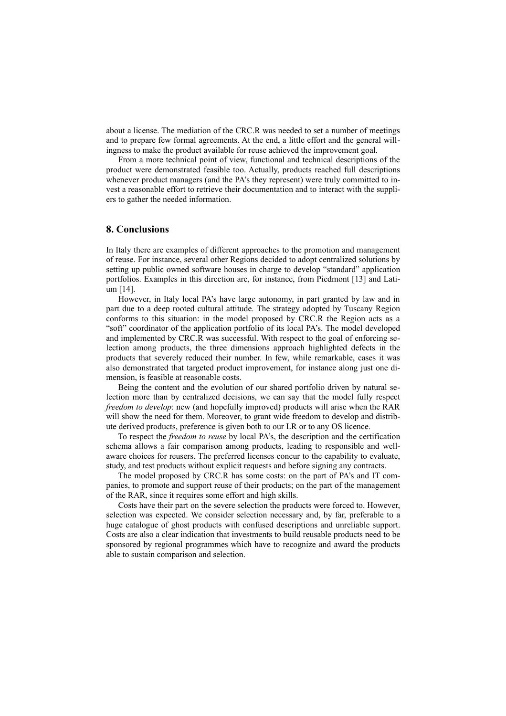about a license. The mediation of the CRC.R was needed to set a number of meetings and to prepare few formal agreements. At the end, a little effort and the general willingness to make the product available for reuse achieved the improvement goal.

From a more technical point of view, functional and technical descriptions of the product were demonstrated feasible too. Actually, products reached full descriptions whenever product managers (and the PA's they represent) were truly committed to invest a reasonable effort to retrieve their documentation and to interact with the suppliers to gather the needed information.

# **8. Conclusions**

In Italy there are examples of different approaches to the promotion and management of reuse. For instance, several other Regions decided to adopt centralized solutions by setting up public owned software houses in charge to develop "standard" application portfolios. Examples in this direction are, for instance, from Piedmont [13] and Latium [14].

However, in Italy local PA's have large autonomy, in part granted by law and in part due to a deep rooted cultural attitude. The strategy adopted by Tuscany Region conforms to this situation: in the model proposed by CRC.R the Region acts as a "soft" coordinator of the application portfolio of its local PA's. The model developed and implemented by CRC.R was successful. With respect to the goal of enforcing selection among products, the three dimensions approach highlighted defects in the products that severely reduced their number. In few, while remarkable, cases it was also demonstrated that targeted product improvement, for instance along just one dimension, is feasible at reasonable costs.

Being the content and the evolution of our shared portfolio driven by natural selection more than by centralized decisions, we can say that the model fully respect *freedom to develop*: new (and hopefully improved) products will arise when the RAR will show the need for them. Moreover, to grant wide freedom to develop and distribute derived products, preference is given both to our LR or to any OS licence.

To respect the *freedom to reuse* by local PA's, the description and the certification schema allows a fair comparison among products, leading to responsible and wellaware choices for reusers. The preferred licenses concur to the capability to evaluate, study, and test products without explicit requests and before signing any contracts.

The model proposed by CRC.R has some costs: on the part of PA's and IT companies, to promote and support reuse of their products; on the part of the management of the RAR, since it requires some effort and high skills.

Costs have their part on the severe selection the products were forced to. However, selection was expected. We consider selection necessary and, by far, preferable to a huge catalogue of ghost products with confused descriptions and unreliable support. Costs are also a clear indication that investments to build reusable products need to be sponsored by regional programmes which have to recognize and award the products able to sustain comparison and selection.